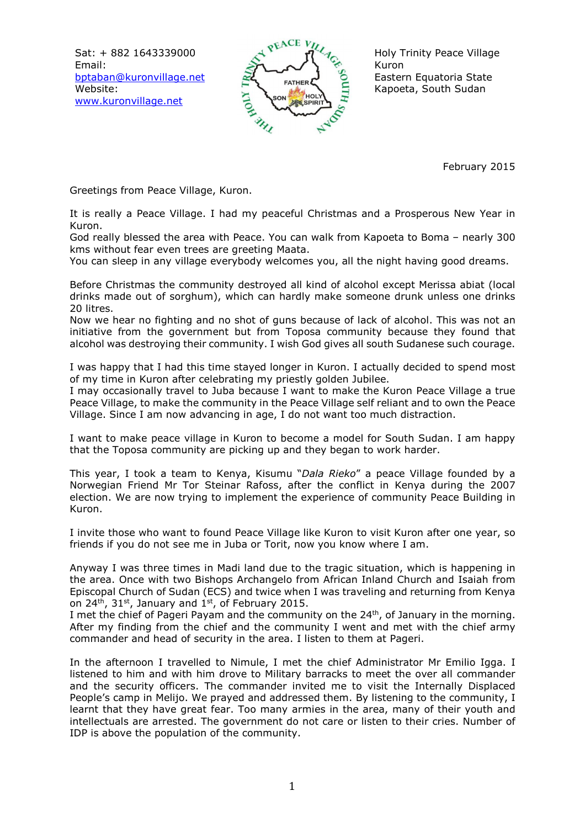Sat: + 882 1643339000 Email: bptaban@kuronvillage.net Website: www.kuronvillage.net



Holy Trinity Peace Village Kuron Eastern Equatoria State Kapoeta, South Sudan

February 2015

Greetings from Peace Village, Kuron.

It is really a Peace Village. I had my peaceful Christmas and a Prosperous New Year in Kuron.

God really blessed the area with Peace. You can walk from Kapoeta to Boma – nearly 300 kms without fear even trees are greeting Maata.

You can sleep in any village everybody welcomes you, all the night having good dreams.

Before Christmas the community destroyed all kind of alcohol except Merissa abiat (local drinks made out of sorghum), which can hardly make someone drunk unless one drinks 20 litres.

Now we hear no fighting and no shot of guns because of lack of alcohol. This was not an initiative from the government but from Toposa community because they found that alcohol was destroying their community. I wish God gives all south Sudanese such courage.

I was happy that I had this time stayed longer in Kuron. I actually decided to spend most of my time in Kuron after celebrating my priestly golden Jubilee.

I may occasionally travel to Juba because I want to make the Kuron Peace Village a true Peace Village, to make the community in the Peace Village self reliant and to own the Peace Village. Since I am now advancing in age, I do not want too much distraction.

I want to make peace village in Kuron to become a model for South Sudan. I am happy that the Toposa community are picking up and they began to work harder.

This year, I took a team to Kenya, Kisumu "*Dala Rieko*" a peace Village founded by a Norwegian Friend Mr Tor Steinar Rafoss, after the conflict in Kenya during the 2007 election. We are now trying to implement the experience of community Peace Building in Kuron.

I invite those who want to found Peace Village like Kuron to visit Kuron after one year, so friends if you do not see me in Juba or Torit, now you know where I am.

Anyway I was three times in Madi land due to the tragic situation, which is happening in the area. Once with two Bishops Archangelo from African Inland Church and Isaiah from Episcopal Church of Sudan (ECS) and twice when I was traveling and returning from Kenya on  $24^{th}$ ,  $31^{st}$ , January and  $1^{st}$ , of February 2015.

I met the chief of Pageri Payam and the community on the 24<sup>th</sup>, of January in the morning. After my finding from the chief and the community I went and met with the chief army commander and head of security in the area. I listen to them at Pageri.

In the afternoon I travelled to Nimule, I met the chief Administrator Mr Emilio Igga. I listened to him and with him drove to Military barracks to meet the over all commander and the security officers. The commander invited me to visit the Internally Displaced People's camp in Melijo. We prayed and addressed them. By listening to the community, I learnt that they have great fear. Too many armies in the area, many of their youth and intellectuals are arrested. The government do not care or listen to their cries. Number of IDP is above the population of the community.